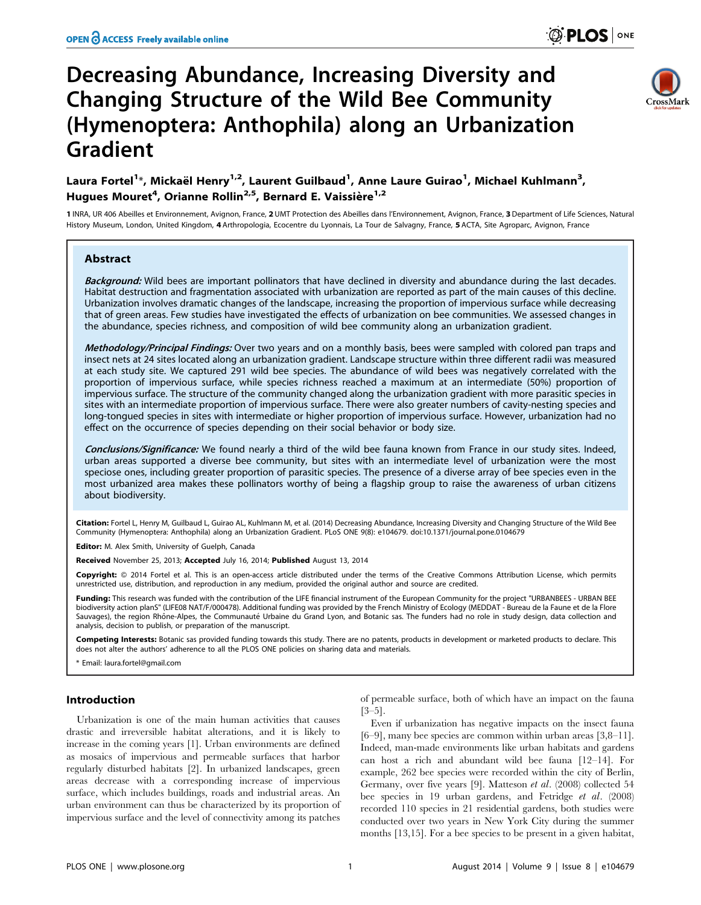# Decreasing Abundance, Increasing Diversity and Changing Structure of the Wild Bee Community (Hymenoptera: Anthophila) along an Urbanization Gradient



# Laura Fortel<sup>1</sup>\*, Mickaël Henry<sup>1,2</sup>, Laurent Guilbaud<sup>1</sup>, Anne Laure Guirao<sup>1</sup>, Michael Kuhlmann<sup>3</sup>, Hugues Mouret<sup>4</sup>, Orianne Rollin<sup>2,5</sup>, Bernard E. Vaissière<sup>1,2</sup>

1 INRA, UR 406 Abeilles et Environnement, Avignon, France, 2 UMT Protection des Abeilles dans l'Environnement, Avignon, France, 3Department of Life Sciences, Natural History Museum, London, United Kingdom, 4 Arthropologia, Ecocentre du Lyonnais, La Tour de Salvagny, France, 5 ACTA, Site Agroparc, Avignon, France

# Abstract

Background: Wild bees are important pollinators that have declined in diversity and abundance during the last decades. Habitat destruction and fragmentation associated with urbanization are reported as part of the main causes of this decline. Urbanization involves dramatic changes of the landscape, increasing the proportion of impervious surface while decreasing that of green areas. Few studies have investigated the effects of urbanization on bee communities. We assessed changes in the abundance, species richness, and composition of wild bee community along an urbanization gradient.

Methodology/Principal Findings: Over two years and on a monthly basis, bees were sampled with colored pan traps and insect nets at 24 sites located along an urbanization gradient. Landscape structure within three different radii was measured at each study site. We captured 291 wild bee species. The abundance of wild bees was negatively correlated with the proportion of impervious surface, while species richness reached a maximum at an intermediate (50%) proportion of impervious surface. The structure of the community changed along the urbanization gradient with more parasitic species in sites with an intermediate proportion of impervious surface. There were also greater numbers of cavity-nesting species and long-tongued species in sites with intermediate or higher proportion of impervious surface. However, urbanization had no effect on the occurrence of species depending on their social behavior or body size.

Conclusions/Significance: We found nearly a third of the wild bee fauna known from France in our study sites. Indeed, urban areas supported a diverse bee community, but sites with an intermediate level of urbanization were the most speciose ones, including greater proportion of parasitic species. The presence of a diverse array of bee species even in the most urbanized area makes these pollinators worthy of being a flagship group to raise the awareness of urban citizens about biodiversity.

Citation: Fortel L, Henry M, Guilbaud L, Guirao AL, Kuhlmann M, et al. (2014) Decreasing Abundance, Increasing Diversity and Changing Structure of the Wild Bee Community (Hymenoptera: Anthophila) along an Urbanization Gradient. PLoS ONE 9(8): e104679. doi:10.1371/journal.pone.0104679

Editor: M. Alex Smith, University of Guelph, Canada

Received November 25, 2013; Accepted July 16, 2014; Published August 13, 2014

Copyright: © 2014 Fortel et al. This is an open-access article distributed under the terms of the [Creative Commons Attribution License](http://creativecommons.org/licenses/by/4.0/), which permits unrestricted use, distribution, and reproduction in any medium, provided the original author and source are credited.

Funding: This research was funded with the contribution of the LIFE financial instrument of the European Community for the project "URBANBEES - URBAN BEE biodiversity action planS" (LIFE08 NAT/F/000478). Additional funding was provided by the French Ministry of Ecology (MEDDAT - Bureau de la Faune et de la Flore Sauvages), the region Rhône-Alpes, the Communauté Urbaine du Grand Lyon, and Botanic sas. The funders had no role in study design, data collection and analysis, decision to publish, or preparation of the manuscript.

Competing Interests: Botanic sas provided funding towards this study. There are no patents, products in development or marketed products to declare. This does not alter the authors' adherence to all the PLOS ONE policies on sharing data and materials.

\* Email: laura.fortel@gmail.com

# Introduction

Urbanization is one of the main human activities that causes drastic and irreversible habitat alterations, and it is likely to increase in the coming years [1]. Urban environments are defined as mosaics of impervious and permeable surfaces that harbor regularly disturbed habitats [2]. In urbanized landscapes, green areas decrease with a corresponding increase of impervious surface, which includes buildings, roads and industrial areas. An urban environment can thus be characterized by its proportion of impervious surface and the level of connectivity among its patches

of permeable surface, both of which have an impact on the fauna [3–5].

Even if urbanization has negative impacts on the insect fauna [6–9], many bee species are common within urban areas [3,8–11]. Indeed, man-made environments like urban habitats and gardens can host a rich and abundant wild bee fauna [12–14]. For example, 262 bee species were recorded within the city of Berlin, Germany, over five years [9]. Matteson et al. (2008) collected 54 bee species in 19 urban gardens, and Fetridge et al. (2008) recorded 110 species in 21 residential gardens, both studies were conducted over two years in New York City during the summer months [13,15]. For a bee species to be present in a given habitat,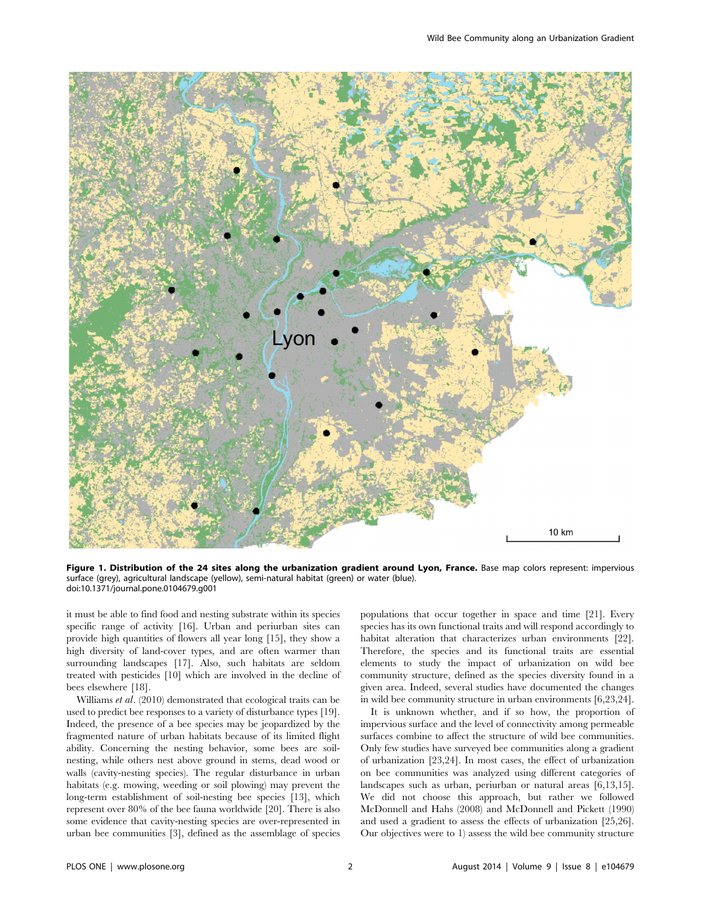

Figure 1. Distribution of the 24 sites along the urbanization gradient around Lyon, France. Base map colors represent: impervious surface (grey), agricultural landscape (yellow), semi-natural habitat (green) or water (blue). doi:10.1371/journal.pone.0104679.g001

it must be able to find food and nesting substrate within its species specific range of activity [16]. Urban and periurban sites can provide high quantities of flowers all year long [15], they show a high diversity of land-cover types, and are often warmer than surrounding landscapes [17]. Also, such habitats are seldom treated with pesticides [10] which are involved in the decline of bees elsewhere [18].

Williams et al. (2010) demonstrated that ecological traits can be used to predict bee responses to a variety of disturbance types [19]. Indeed, the presence of a bee species may be jeopardized by the fragmented nature of urban habitats because of its limited flight ability. Concerning the nesting behavior, some bees are soilnesting, while others nest above ground in stems, dead wood or walls (cavity-nesting species). The regular disturbance in urban habitats (e.g. mowing, weeding or soil plowing) may prevent the long-term establishment of soil-nesting bee species [13], which represent over 80% of the bee fauna worldwide [20]. There is also some evidence that cavity-nesting species are over-represented in urban bee communities [3], defined as the assemblage of species populations that occur together in space and time [21]. Every species has its own functional traits and will respond accordingly to habitat alteration that characterizes urban environments [22]. Therefore, the species and its functional traits are essential elements to study the impact of urbanization on wild bee community structure, defined as the species diversity found in a given area. Indeed, several studies have documented the changes in wild bee community structure in urban environments [6,23,24].

It is unknown whether, and if so how, the proportion of impervious surface and the level of connectivity among permeable surfaces combine to affect the structure of wild bee communities. Only few studies have surveyed bee communities along a gradient of urbanization [23,24]. In most cases, the effect of urbanization on bee communities was analyzed using different categories of landscapes such as urban, periurban or natural areas [6,13,15]. We did not choose this approach, but rather we followed McDonnell and Hahs (2008) and McDonnell and Pickett (1990) and used a gradient to assess the effects of urbanization [25,26]. Our objectives were to 1) assess the wild bee community structure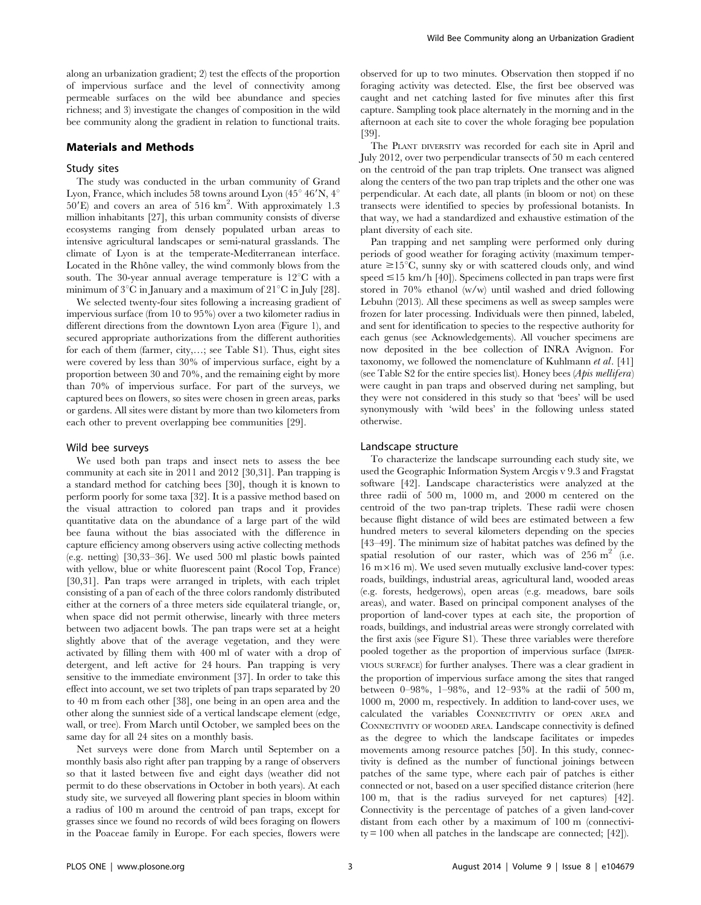along an urbanization gradient; 2) test the effects of the proportion of impervious surface and the level of connectivity among permeable surfaces on the wild bee abundance and species richness; and 3) investigate the changes of composition in the wild bee community along the gradient in relation to functional traits.

#### Materials and Methods

#### Study sites

The study was conducted in the urban community of Grand Lyon, France, which includes 58 towns around Lyon (45 $\degree$  46'N, 4 $\degree$  $50'E$ ) and covers an area of  $516 \text{ km}^2$ . With approximately 1.3 million inhabitants [27], this urban community consists of diverse ecosystems ranging from densely populated urban areas to intensive agricultural landscapes or semi-natural grasslands. The climate of Lyon is at the temperate-Mediterranean interface. Located in the Rhône valley, the wind commonly blows from the south. The 30-year annual average temperature is  $12^{\circ}$ C with a minimum of  $3^{\circ}$ C in January and a maximum of  $21^{\circ}$ C in July [28].

We selected twenty-four sites following a increasing gradient of impervious surface (from 10 to 95%) over a two kilometer radius in different directions from the downtown Lyon area (Figure 1), and secured appropriate authorizations from the different authorities for each of them (farmer, city,…; see Table S1). Thus, eight sites were covered by less than 30% of impervious surface, eight by a proportion between 30 and 70%, and the remaining eight by more than 70% of impervious surface. For part of the surveys, we captured bees on flowers, so sites were chosen in green areas, parks or gardens. All sites were distant by more than two kilometers from each other to prevent overlapping bee communities [29].

### Wild bee surveys

We used both pan traps and insect nets to assess the bee community at each site in 2011 and 2012 [30,31]. Pan trapping is a standard method for catching bees [30], though it is known to perform poorly for some taxa [32]. It is a passive method based on the visual attraction to colored pan traps and it provides quantitative data on the abundance of a large part of the wild bee fauna without the bias associated with the difference in capture efficiency among observers using active collecting methods (e.g. netting) [30,33–36]. We used 500 ml plastic bowls painted with yellow, blue or white fluorescent paint (Rocol Top, France) [30,31]. Pan traps were arranged in triplets, with each triplet consisting of a pan of each of the three colors randomly distributed either at the corners of a three meters side equilateral triangle, or, when space did not permit otherwise, linearly with three meters between two adjacent bowls. The pan traps were set at a height slightly above that of the average vegetation, and they were activated by filling them with 400 ml of water with a drop of detergent, and left active for 24 hours. Pan trapping is very sensitive to the immediate environment [37]. In order to take this effect into account, we set two triplets of pan traps separated by 20 to 40 m from each other [38], one being in an open area and the other along the sunniest side of a vertical landscape element (edge, wall, or tree). From March until October, we sampled bees on the same day for all 24 sites on a monthly basis.

Net surveys were done from March until September on a monthly basis also right after pan trapping by a range of observers so that it lasted between five and eight days (weather did not permit to do these observations in October in both years). At each study site, we surveyed all flowering plant species in bloom within a radius of 100 m around the centroid of pan traps, except for grasses since we found no records of wild bees foraging on flowers in the Poaceae family in Europe. For each species, flowers were

observed for up to two minutes. Observation then stopped if no foraging activity was detected. Else, the first bee observed was caught and net catching lasted for five minutes after this first capture. Sampling took place alternately in the morning and in the afternoon at each site to cover the whole foraging bee population [39].

The PLANT DIVERSITY was recorded for each site in April and July 2012, over two perpendicular transects of 50 m each centered on the centroid of the pan trap triplets. One transect was aligned along the centers of the two pan trap triplets and the other one was perpendicular. At each date, all plants (in bloom or not) on these transects were identified to species by professional botanists. In that way, we had a standardized and exhaustive estimation of the plant diversity of each site.

Pan trapping and net sampling were performed only during periods of good weather for foraging activity (maximum temperature  $\geq 15^{\circ}C$ , sunny sky or with scattered clouds only, and wind speed  $\leq$ 15 km/h [40]). Specimens collected in pan traps were first stored in 70% ethanol (w/w) until washed and dried following Lebuhn (2013). All these specimens as well as sweep samples were frozen for later processing. Individuals were then pinned, labeled, and sent for identification to species to the respective authority for each genus (see Acknowledgements). All voucher specimens are now deposited in the bee collection of INRA Avignon. For taxonomy, we followed the nomenclature of Kuhlmann et al. [41] (see Table S2 for the entire species list). Honey bees  $(Apis$  mellifera) were caught in pan traps and observed during net sampling, but they were not considered in this study so that 'bees' will be used synonymously with 'wild bees' in the following unless stated otherwise.

#### Landscape structure

To characterize the landscape surrounding each study site, we used the Geographic Information System Arcgis v 9.3 and Fragstat software [42]. Landscape characteristics were analyzed at the three radii of 500 m, 1000 m, and 2000 m centered on the centroid of the two pan-trap triplets. These radii were chosen because flight distance of wild bees are estimated between a few hundred meters to several kilometers depending on the species [43–49]. The minimum size of habitat patches was defined by the spatial resolution of our raster, which was of  $256 \text{ m}^2$  (i.e. 16 m $\times$ 16 m). We used seven mutually exclusive land-cover types: roads, buildings, industrial areas, agricultural land, wooded areas (e.g. forests, hedgerows), open areas (e.g. meadows, bare soils areas), and water. Based on principal component analyses of the proportion of land-cover types at each site, the proportion of roads, buildings, and industrial areas were strongly correlated with the first axis (see Figure S1). These three variables were therefore pooled together as the proportion of impervious surface (IMPER-VIOUS SURFACE) for further analyses. There was a clear gradient in the proportion of impervious surface among the sites that ranged between 0–98%, 1–98%, and 12–93% at the radii of 500 m, 1000 m, 2000 m, respectively. In addition to land-cover uses, we calculated the variables CONNECTIVITY OF OPEN AREA and CONNECTIVITY OF WOODED AREA. Landscape connectivity is defined as the degree to which the landscape facilitates or impedes movements among resource patches [50]. In this study, connectivity is defined as the number of functional joinings between patches of the same type, where each pair of patches is either connected or not, based on a user specified distance criterion (here 100 m, that is the radius surveyed for net captures) [42]. Connectivity is the percentage of patches of a given land-cover distant from each other by a maximum of 100 m (connectivity = 100 when all patches in the landscape are connected; [42]).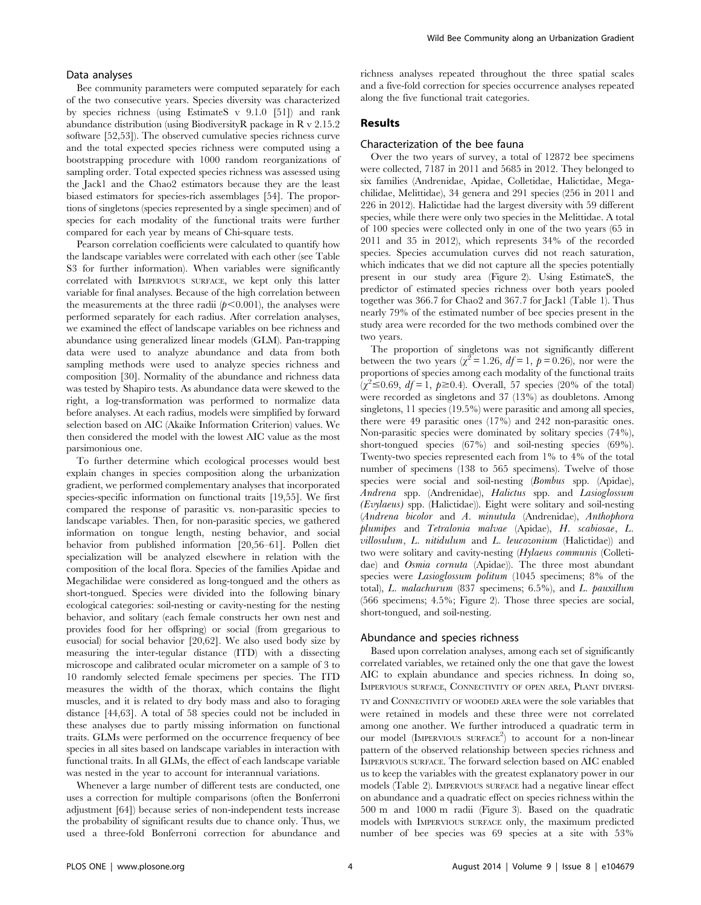#### Data analyses

Bee community parameters were computed separately for each of the two consecutive years. Species diversity was characterized by species richness (using EstimateS v 9.1.0 [51]) and rank abundance distribution (using BiodiversityR package in R v 2.15.2 software [52,53]). The observed cumulative species richness curve and the total expected species richness were computed using a bootstrapping procedure with 1000 random reorganizations of sampling order. Total expected species richness was assessed using the Jack1 and the Chao2 estimators because they are the least biased estimators for species-rich assemblages [54]. The proportions of singletons (species represented by a single specimen) and of species for each modality of the functional traits were further compared for each year by means of Chi-square tests.

Pearson correlation coefficients were calculated to quantify how the landscape variables were correlated with each other (see Table S3 for further information). When variables were significantly correlated with IMPERVIOUS SURFACE, we kept only this latter variable for final analyses. Because of the high correlation between the measurements at the three radii  $(p<0.001)$ , the analyses were performed separately for each radius. After correlation analyses, we examined the effect of landscape variables on bee richness and abundance using generalized linear models (GLM). Pan-trapping data were used to analyze abundance and data from both sampling methods were used to analyze species richness and composition [30]. Normality of the abundance and richness data was tested by Shapiro tests. As abundance data were skewed to the right, a log-transformation was performed to normalize data before analyses. At each radius, models were simplified by forward selection based on AIC (Akaike Information Criterion) values. We then considered the model with the lowest AIC value as the most parsimonious one.

To further determine which ecological processes would best explain changes in species composition along the urbanization gradient, we performed complementary analyses that incorporated species-specific information on functional traits [19,55]. We first compared the response of parasitic vs. non-parasitic species to landscape variables. Then, for non-parasitic species, we gathered information on tongue length, nesting behavior, and social behavior from published information [20,56–61]. Pollen diet specialization will be analyzed elsewhere in relation with the composition of the local flora. Species of the families Apidae and Megachilidae were considered as long-tongued and the others as short-tongued. Species were divided into the following binary ecological categories: soil-nesting or cavity-nesting for the nesting behavior, and solitary (each female constructs her own nest and provides food for her offspring) or social (from gregarious to eusocial) for social behavior [20,62]. We also used body size by measuring the inter-tegular distance (ITD) with a dissecting microscope and calibrated ocular micrometer on a sample of 3 to 10 randomly selected female specimens per species. The ITD measures the width of the thorax, which contains the flight muscles, and it is related to dry body mass and also to foraging distance [44,63]. A total of 58 species could not be included in these analyses due to partly missing information on functional traits. GLMs were performed on the occurrence frequency of bee species in all sites based on landscape variables in interaction with functional traits. In all GLMs, the effect of each landscape variable was nested in the year to account for interannual variations.

Whenever a large number of different tests are conducted, one uses a correction for multiple comparisons (often the Bonferroni adjustment [64]) because series of non-independent tests increase the probability of significant results due to chance only. Thus, we used a three-fold Bonferroni correction for abundance and richness analyses repeated throughout the three spatial scales and a five-fold correction for species occurrence analyses repeated along the five functional trait categories.

# Results

### Characterization of the bee fauna

Over the two years of survey, a total of 12872 bee specimens were collected, 7187 in 2011 and 5685 in 2012. They belonged to six families (Andrenidae, Apidae, Colletidae, Halictidae, Megachilidae, Melittidae), 34 genera and 291 species (256 in 2011 and 226 in 2012). Halictidae had the largest diversity with 59 different species, while there were only two species in the Melittidae. A total of 100 species were collected only in one of the two years (65 in 2011 and 35 in 2012), which represents 34% of the recorded species. Species accumulation curves did not reach saturation, which indicates that we did not capture all the species potentially present in our study area (Figure 2). Using EstimateS, the predictor of estimated species richness over both years pooled together was 366.7 for Chao2 and 367.7 for Jack1 (Table 1). Thus nearly 79% of the estimated number of bee species present in the study area were recorded for the two methods combined over the two years.

The proportion of singletons was not significantly different between the two years ( $\chi^2 = 1.26$ ,  $df = 1$ ,  $p = 0.26$ ), nor were the proportions of species among each modality of the functional traits  $(\chi^2 \le 0.69, df = 1, \ p \ge 0.4)$ . Overall, 57 species (20% of the total) were recorded as singletons and 37 (13%) as doubletons. Among singletons, 11 species (19.5%) were parasitic and among all species, there were 49 parasitic ones (17%) and 242 non-parasitic ones. Non-parasitic species were dominated by solitary species (74%), short-tongued species (67%) and soil-nesting species (69%). Twenty-two species represented each from 1% to 4% of the total number of specimens (138 to 565 specimens). Twelve of those species were social and soil-nesting (Bombus spp. (Apidae), Andrena spp. (Andrenidae), Halictus spp. and Lasioglossum (Evylaeus) spp. (Halictidae)). Eight were solitary and soil-nesting (Andrena bicolor and A. minutula (Andrenidae), Anthophora plumipes and Tetralonia malvae (Apidae), H. scabiosae, L. villosulum, L. nitidulum and L. leucozonium (Halictidae)) and two were solitary and cavity-nesting (Hylaeus communis (Colletidae) and Osmia cornuta (Apidae)). The three most abundant species were Lasioglossum politum (1045 specimens; 8% of the total), L. malachurum (837 specimens; 6.5%), and L. pauxillum (566 specimens; 4.5%; Figure 2). Those three species are social, short-tongued, and soil-nesting.

#### Abundance and species richness

Based upon correlation analyses, among each set of significantly correlated variables, we retained only the one that gave the lowest AIC to explain abundance and species richness. In doing so, IMPERVIOUS SURFACE, CONNECTIVITY OF OPEN AREA, PLANT DIVERSI-TY and CONNECTIVITY OF WOODED AREA were the sole variables that were retained in models and these three were not correlated among one another. We further introduced a quadratic term in our model (IMPERVIOUS SURFACE<sup>2</sup>) to account for a non-linear pattern of the observed relationship between species richness and IMPERVIOUS SURFACE. The forward selection based on AIC enabled us to keep the variables with the greatest explanatory power in our models (Table 2). IMPERVIOUS SURFACE had a negative linear effect on abundance and a quadratic effect on species richness within the 500 m and 1000 m radii (Figure 3). Based on the quadratic models with IMPERVIOUS SURFACE only, the maximum predicted number of bee species was 69 species at a site with 53%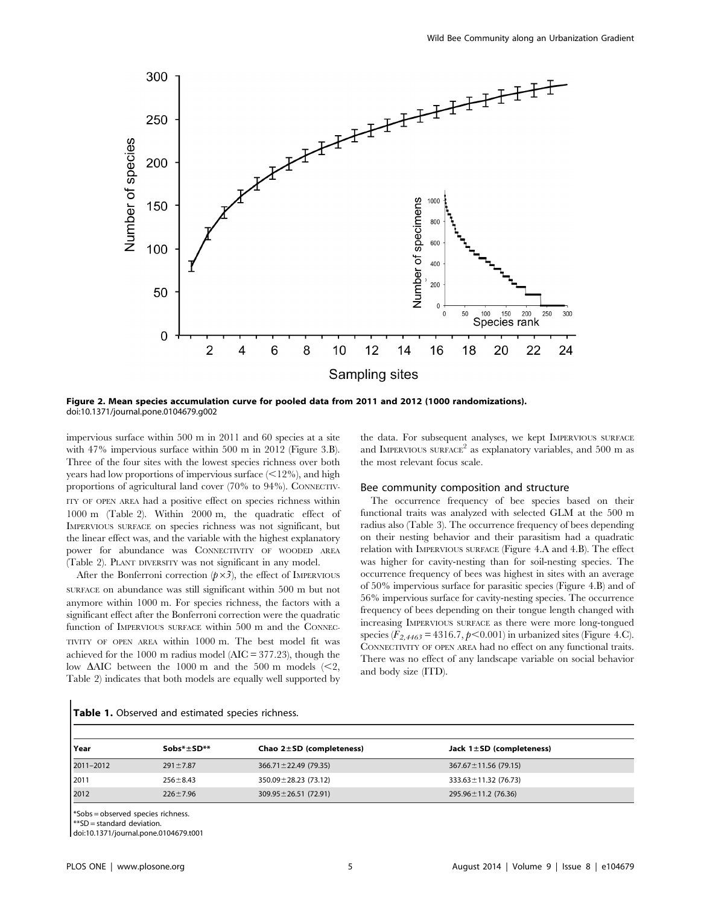

Figure 2. Mean species accumulation curve for pooled data from 2011 and 2012 (1000 randomizations). doi:10.1371/journal.pone.0104679.g002

impervious surface within 500 m in 2011 and 60 species at a site with 47% impervious surface within 500 m in 2012 (Figure 3.B). Three of the four sites with the lowest species richness over both years had low proportions of impervious surface  $\left($  < 12%), and high proportions of agricultural land cover (70% to 94%). CONNECTIV-ITY OF OPEN AREA had a positive effect on species richness within 1000 m (Table 2). Within 2000 m, the quadratic effect of IMPERVIOUS SURFACE on species richness was not significant, but the linear effect was, and the variable with the highest explanatory power for abundance was CONNECTIVITY OF WOODED AREA (Table 2). PLANT DIVERSITY was not significant in any model.

After the Bonferroni correction  $(p \times 3)$ , the effect of IMPERVIOUS SURFACE on abundance was still significant within 500 m but not anymore within 1000 m. For species richness, the factors with a significant effect after the Bonferroni correction were the quadratic function of IMPERVIOUS SURFACE within 500 m and the CONNEC-TIVITY OF OPEN AREA within 1000 m. The best model fit was achieved for the 1000 m radius model (AIC = 377.23), though the low  $\triangle$ AIC between the 1000 m and the 500 m models (<2, Table 2) indicates that both models are equally well supported by the data. For subsequent analyses, we kept IMPERVIOUS SURFACE and IMPERVIOUS SURFACE<sup>2</sup> as explanatory variables, and 500 m as the most relevant focus scale.

#### Bee community composition and structure

The occurrence frequency of bee species based on their functional traits was analyzed with selected GLM at the 500 m radius also (Table 3). The occurrence frequency of bees depending on their nesting behavior and their parasitism had a quadratic relation with IMPERVIOUS SURFACE (Figure 4.A and 4.B). The effect was higher for cavity-nesting than for soil-nesting species. The occurrence frequency of bees was highest in sites with an average of 50% impervious surface for parasitic species (Figure 4.B) and of 56% impervious surface for cavity-nesting species. The occurrence frequency of bees depending on their tongue length changed with increasing IMPERVIOUS SURFACE as there were more long-tongued species ( $F_{2,4463} = 4316.7, p < 0.001$ ) in urbanized sites (Figure 4.C). CONNECTIVITY OF OPEN AREA had no effect on any functional traits. There was no effect of any landscape variable on social behavior and body size (ITD).

| Year      | $Sobs* \pm SD**$ | Chao $2\pm SD$ (completeness) | Jack $1 \pm SD$ (completeness) |
|-----------|------------------|-------------------------------|--------------------------------|
| 2011-2012 | $291 \pm 7.87$   | $366.71 \pm 22.49$ (79.35)    | $367.67 \pm 11.56$ (79.15)     |
| 2011      | $256 \pm 8.43$   | 350.09 ± 28.23 (73.12)        | $333.63 \pm 11.32$ (76.73)     |
| 2012      | $226 \pm 7.96$   | $309.95 \pm 26.51$ (72.91)    | 295.96±11.2 (76.36)            |

# Table 1. Observed and estimated species richness.

\*Sobs = observed species richness.

\*\*SD = standard deviation.

doi:10.1371/journal.pone.0104679.t001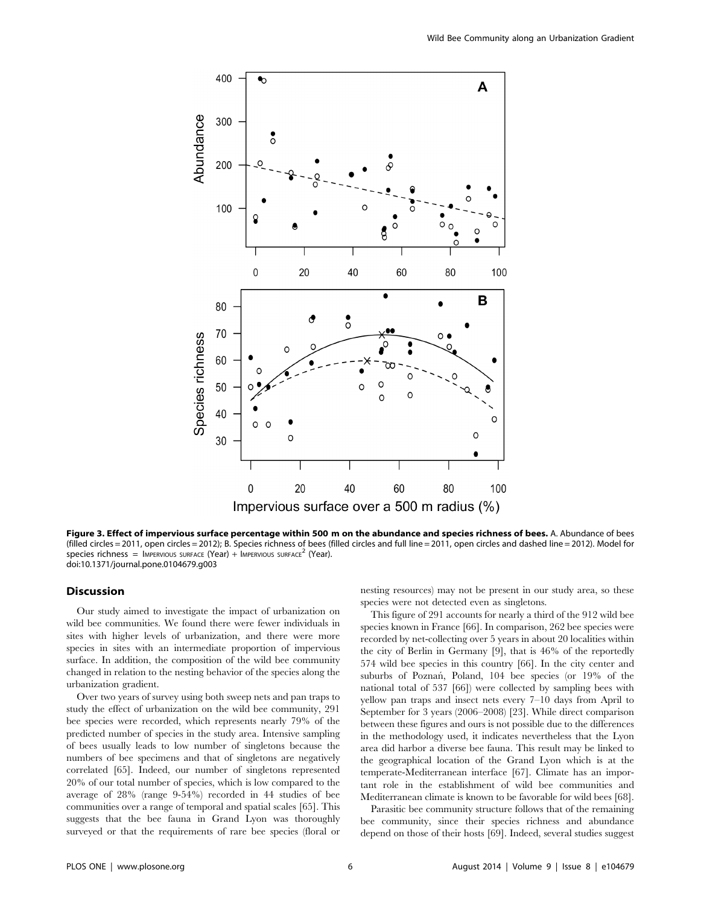

Figure 3. Effect of impervious surface percentage within 500 m on the abundance and species richness of bees. A. Abundance of bees (filled circles = 2011, open circles = 2012); B. Species richness of bees (filled circles and full line = 2011, open circles and dashed line = 2012). Model for species richness = IMPERVIOUS SURFACE (Year) + IMPERVIOUS SURFACE<sup>2</sup> (Year). doi:10.1371/journal.pone.0104679.g003

# Discussion

Our study aimed to investigate the impact of urbanization on wild bee communities. We found there were fewer individuals in sites with higher levels of urbanization, and there were more species in sites with an intermediate proportion of impervious surface. In addition, the composition of the wild bee community changed in relation to the nesting behavior of the species along the urbanization gradient.

Over two years of survey using both sweep nets and pan traps to study the effect of urbanization on the wild bee community, 291 bee species were recorded, which represents nearly 79% of the predicted number of species in the study area. Intensive sampling of bees usually leads to low number of singletons because the numbers of bee specimens and that of singletons are negatively correlated [65]. Indeed, our number of singletons represented 20% of our total number of species, which is low compared to the average of 28% (range 9-54%) recorded in 44 studies of bee communities over a range of temporal and spatial scales [65]. This suggests that the bee fauna in Grand Lyon was thoroughly surveyed or that the requirements of rare bee species (floral or

nesting resources) may not be present in our study area, so these species were not detected even as singletons.

This figure of 291 accounts for nearly a third of the 912 wild bee species known in France [66]. In comparison, 262 bee species were recorded by net-collecting over 5 years in about 20 localities within the city of Berlin in Germany [9], that is 46% of the reportedly 574 wild bee species in this country [66]. In the city center and suburbs of Poznań, Poland, 104 bee species (or 19% of the national total of 537 [66]) were collected by sampling bees with yellow pan traps and insect nets every 7–10 days from April to September for 3 years (2006–2008) [23]. While direct comparison between these figures and ours is not possible due to the differences in the methodology used, it indicates nevertheless that the Lyon area did harbor a diverse bee fauna. This result may be linked to the geographical location of the Grand Lyon which is at the temperate-Mediterranean interface [67]. Climate has an important role in the establishment of wild bee communities and Mediterranean climate is known to be favorable for wild bees [68].

Parasitic bee community structure follows that of the remaining bee community, since their species richness and abundance depend on those of their hosts [69]. Indeed, several studies suggest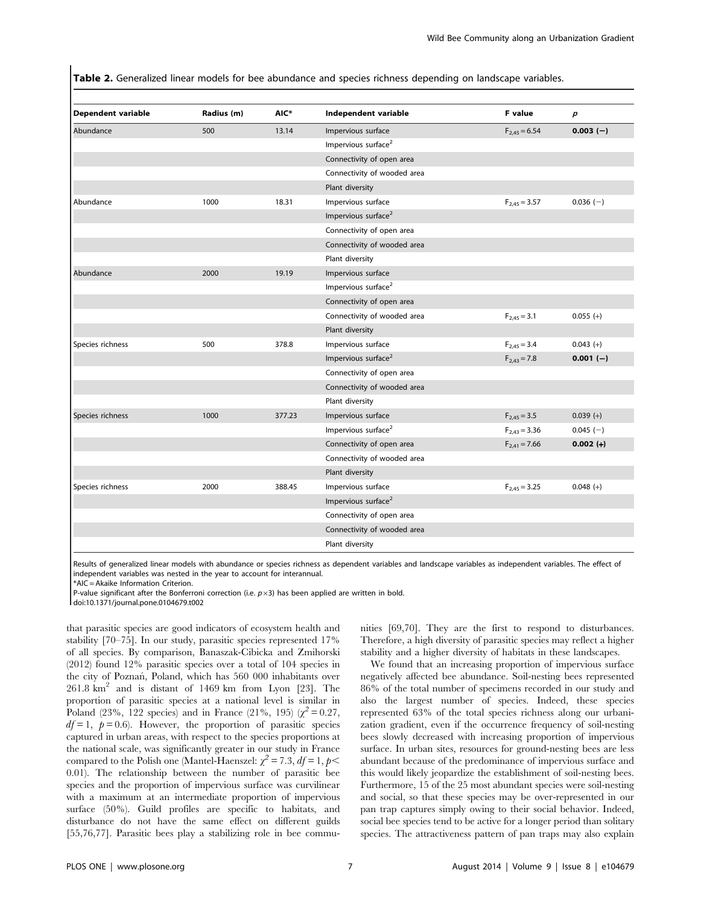Table 2. Generalized linear models for bee abundance and species richness depending on landscape variables.

| <b>Dependent variable</b> | Radius (m) | AIC*   | Independent variable            | F value           | $\boldsymbol{p}$ |
|---------------------------|------------|--------|---------------------------------|-------------------|------------------|
| Abundance                 | 500        | 13.14  | Impervious surface              | $F_{2,45} = 6.54$ | $0.003(-)$       |
|                           |            |        | Impervious surface <sup>2</sup> |                   |                  |
|                           |            |        | Connectivity of open area       |                   |                  |
|                           |            |        | Connectivity of wooded area     |                   |                  |
|                           |            |        | Plant diversity                 |                   |                  |
| Abundance                 | 1000       | 18.31  | Impervious surface              | $F_{2,45} = 3.57$ | $0.036(-)$       |
|                           |            |        | Impervious surface <sup>2</sup> |                   |                  |
|                           |            |        | Connectivity of open area       |                   |                  |
|                           |            |        | Connectivity of wooded area     |                   |                  |
|                           |            |        | Plant diversity                 |                   |                  |
| Abundance                 | 2000       | 19.19  | Impervious surface              |                   |                  |
|                           |            |        | Impervious surface <sup>2</sup> |                   |                  |
|                           |            |        | Connectivity of open area       |                   |                  |
|                           |            |        | Connectivity of wooded area     | $F_{2,45} = 3.1$  | $0.055 (+)$      |
|                           |            |        | Plant diversity                 |                   |                  |
| Species richness          | 500        | 378.8  | Impervious surface              | $F_{2,45} = 3.4$  | $0.043 (+)$      |
|                           |            |        | Impervious surface <sup>2</sup> | $F_{2,43} = 7.8$  | $0.001(-)$       |
|                           |            |        | Connectivity of open area       |                   |                  |
|                           |            |        | Connectivity of wooded area     |                   |                  |
|                           |            |        | Plant diversity                 |                   |                  |
| Species richness          | 1000       | 377.23 | Impervious surface              | $F_{2,45} = 3.5$  | $0.039 (+)$      |
|                           |            |        | Impervious surface <sup>2</sup> | $F_{2,43} = 3.36$ | $0.045(-)$       |
|                           |            |        | Connectivity of open area       | $F_{2,41} = 7.66$ | $0.002 (+)$      |
|                           |            |        | Connectivity of wooded area     |                   |                  |
|                           |            |        | Plant diversity                 |                   |                  |
| Species richness          | 2000       | 388.45 | Impervious surface              | $F_{2,45} = 3.25$ | $0.048 (+)$      |
|                           |            |        | Impervious surface <sup>2</sup> |                   |                  |
|                           |            |        | Connectivity of open area       |                   |                  |
|                           |            |        | Connectivity of wooded area     |                   |                  |
|                           |            |        | Plant diversity                 |                   |                  |

Results of generalized linear models with abundance or species richness as dependent variables and landscape variables as independent variables. The effect of independent variables was nested in the year to account for interannual.

\*AIC = Akaike Information Criterion.

P-value significant after the Bonferroni correction (i.e.  $p\times3$ ) has been applied are written in bold.

doi:10.1371/journal.pone.0104679.t002

that parasitic species are good indicators of ecosystem health and stability [70–75]. In our study, parasitic species represented 17% of all species. By comparison, Banaszak-Cibicka and Zmihorski (2012) found 12% parasitic species over a total of 104 species in the city of Poznan´, Poland, which has 560 000 inhabitants over  $261.8 \text{ km}^2$  and is distant of 1469 km from Lyon [23]. The proportion of parasitic species at a national level is similar in Poland (23%, 122 species) and in France (21%, 195) ( $\chi^2 = 0.27$ ,  $df = 1$ ,  $p = 0.6$ ). However, the proportion of parasitic species captured in urban areas, with respect to the species proportions at the national scale, was significantly greater in our study in France compared to the Polish one (Mantel-Haenszel:  $\chi^2 = 7.3$ ,  $df = 1$ ,  $p <$ 0.01). The relationship between the number of parasitic bee species and the proportion of impervious surface was curvilinear with a maximum at an intermediate proportion of impervious surface (50%). Guild profiles are specific to habitats, and disturbance do not have the same effect on different guilds [55,76,77]. Parasitic bees play a stabilizing role in bee communities [69,70]. They are the first to respond to disturbances. Therefore, a high diversity of parasitic species may reflect a higher stability and a higher diversity of habitats in these landscapes.

We found that an increasing proportion of impervious surface negatively affected bee abundance. Soil-nesting bees represented 86% of the total number of specimens recorded in our study and also the largest number of species. Indeed, these species represented 63% of the total species richness along our urbanization gradient, even if the occurrence frequency of soil-nesting bees slowly decreased with increasing proportion of impervious surface. In urban sites, resources for ground-nesting bees are less abundant because of the predominance of impervious surface and this would likely jeopardize the establishment of soil-nesting bees. Furthermore, 15 of the 25 most abundant species were soil-nesting and social, so that these species may be over-represented in our pan trap captures simply owing to their social behavior. Indeed, social bee species tend to be active for a longer period than solitary species. The attractiveness pattern of pan traps may also explain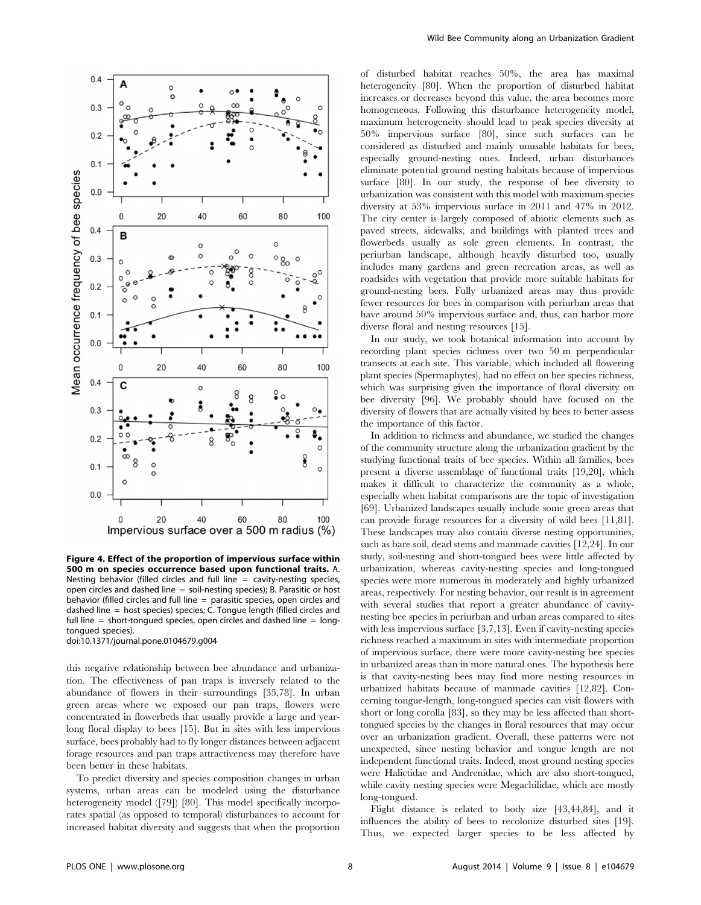

Figure 4. Effect of the proportion of impervious surface within 500 m on species occurrence based upon functional traits. A. Nesting behavior (filled circles and full line  $=$  cavity-nesting species, open circles and dashed line = soil-nesting species); B. Parasitic or host behavior (filled circles and full line = parasitic species, open circles and dashed line = host species) species; C. Tongue length (filled circles and full line  $=$  short-tongued species, open circles and dashed line  $=$  longtongued species).

doi:10.1371/journal.pone.0104679.g004

this negative relationship between bee abundance and urbanization. The effectiveness of pan traps is inversely related to the abundance of flowers in their surroundings [35,78]. In urban green areas where we exposed our pan traps, flowers were concentrated in flowerbeds that usually provide a large and yearlong floral display to bees [15]. But in sites with less impervious surface, bees probably had to fly longer distances between adjacent forage resources and pan traps attractiveness may therefore have been better in these habitats.

To predict diversity and species composition changes in urban systems, urban areas can be modeled using the disturbance heterogeneity model ([79]) [80]. This model specifically incorporates spatial (as opposed to temporal) disturbances to account for increased habitat diversity and suggests that when the proportion of disturbed habitat reaches 50%, the area has maximal heterogeneity [80]. When the proportion of disturbed habitat increases or decreases beyond this value, the area becomes more homogeneous. Following this disturbance heterogeneity model, maximum heterogeneity should lead to peak species diversity at 50% impervious surface [80], since such surfaces can be considered as disturbed and mainly unusable habitats for bees, especially ground-nesting ones. Indeed, urban disturbances eliminate potential ground nesting habitats because of impervious surface [80]. In our study, the response of bee diversity to urbanization was consistent with this model with maximum species diversity at 53% impervious surface in 2011 and 47% in 2012. The city center is largely composed of abiotic elements such as paved streets, sidewalks, and buildings with planted trees and flowerbeds usually as sole green elements. In contrast, the periurban landscape, although heavily disturbed too, usually includes many gardens and green recreation areas, as well as roadsides with vegetation that provide more suitable habitats for ground-nesting bees. Fully urbanized areas may thus provide fewer resources for bees in comparison with periurban areas that have around 50% impervious surface and, thus, can harbor more diverse floral and nesting resources [15].

In our study, we took botanical information into account by recording plant species richness over two 50 m perpendicular transects at each site. This variable, which included all flowering plant species (Spermaphytes), had no effect on bee species richness, which was surprising given the importance of floral diversity on bee diversity [96]. We probably should have focused on the diversity of flowers that are actually visited by bees to better assess the importance of this factor.

In addition to richness and abundance, we studied the changes of the community structure along the urbanization gradient by the studying functional traits of bee species. Within all families, bees present a diverse assemblage of functional traits [19,20], which makes it difficult to characterize the community as a whole, especially when habitat comparisons are the topic of investigation [69]. Urbanized landscapes usually include some green areas that can provide forage resources for a diversity of wild bees [11,81]. These landscapes may also contain diverse nesting opportunities, such as bare soil, dead stems and manmade cavities [12,24]. In our study, soil-nesting and short-tongued bees were little affected by urbanization, whereas cavity-nesting species and long-tongued species were more numerous in moderately and highly urbanized areas, respectively. For nesting behavior, our result is in agreement with several studies that report a greater abundance of cavitynesting bee species in periurban and urban areas compared to sites with less impervious surface [3,7,13]. Even if cavity-nesting species richness reached a maximum in sites with intermediate proportion of impervious surface, there were more cavity-nesting bee species in urbanized areas than in more natural ones. The hypothesis here is that cavity-nesting bees may find more nesting resources in urbanized habitats because of manmade cavities [12,82]. Concerning tongue-length, long-tongued species can visit flowers with short or long corolla [83], so they may be less affected than shorttongued species by the changes in floral resources that may occur over an urbanization gradient. Overall, these patterns were not unexpected, since nesting behavior and tongue length are not independent functional traits. Indeed, most ground nesting species were Halictidae and Andrenidae, which are also short-tongued, while cavity nesting species were Megachilidae, which are mostly long-tongued.

Flight distance is related to body size [43,44,84], and it influences the ability of bees to recolonize disturbed sites [19]. Thus, we expected larger species to be less affected by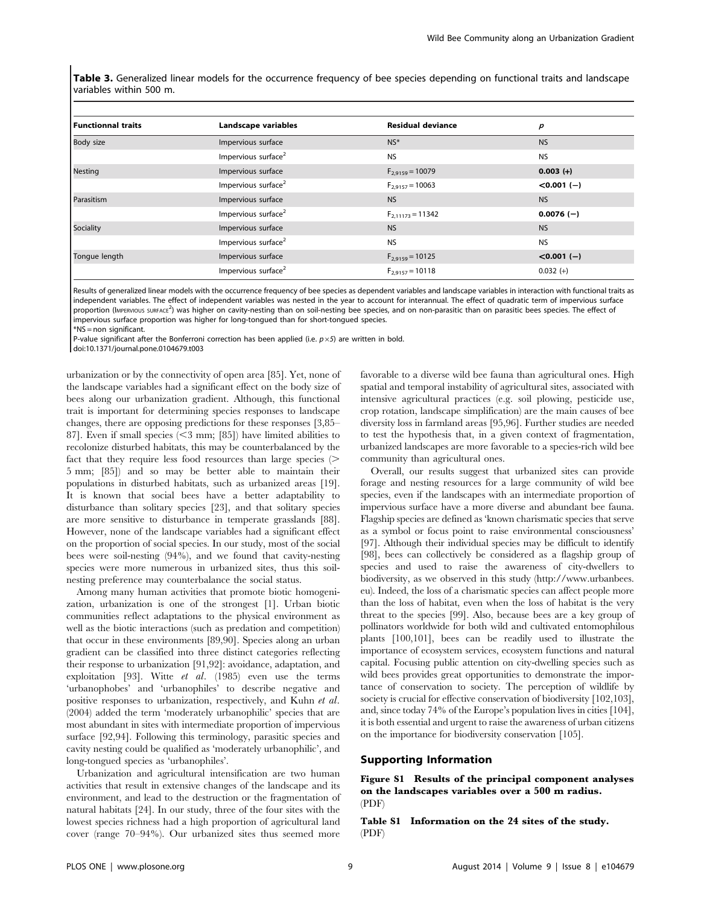Table 3. Generalized linear models for the occurrence frequency of bee species depending on functional traits and landscape variables within 500 m.

| <b>Functionnal traits</b> | Landscape variables             | <b>Residual deviance</b> | p             |
|---------------------------|---------------------------------|--------------------------|---------------|
| Body size                 | Impervious surface              | $NS^*$                   | <b>NS</b>     |
|                           | Impervious surface <sup>2</sup> | <b>NS</b>                | <b>NS</b>     |
| <b>Nesting</b>            | Impervious surface              | $F_{2,9159} = 10079$     | $0.003 (+)$   |
|                           | Impervious surface <sup>2</sup> | $F_{2,9157} = 10063$     | $< 0.001 (-)$ |
| Parasitism                | Impervious surface              | <b>NS</b>                | <b>NS</b>     |
|                           | Impervious surface <sup>2</sup> | $F_{2,11173} = 11342$    | $0.0076(-)$   |
| Sociality                 | Impervious surface              | <b>NS</b>                | <b>NS</b>     |
|                           | Impervious surface <sup>2</sup> | <b>NS</b>                | <b>NS</b>     |
| Tongue length             | Impervious surface              | $F_{2,9159} = 10125$     | $< 0.001 (-)$ |
|                           | Impervious surface <sup>2</sup> | $F_{2.9157} = 10118$     | $0.032 (+)$   |

Results of generalized linear models with the occurrence frequency of bee species as dependent variables and landscape variables in interaction with functional traits as independent variables. The effect of independent variables was nested in the year to account for interannual. The effect of quadratic term of impervious surface proportion (IMPERVIOUS SURFACE<sup>2</sup>) was higher on cavity-nesting than on soil-nesting bee species, and on non-parasitic than on parasitic bees species. The effect of impervious surface proportion was higher for long-tongued than for short-tongued species.

\*NS = non significant.

P-value significant after the Bonferroni correction has been applied (i.e.  $p\times 5$ ) are written in bold.

doi:10.1371/journal.pone.0104679.t003

urbanization or by the connectivity of open area [85]. Yet, none of the landscape variables had a significant effect on the body size of bees along our urbanization gradient. Although, this functional trait is important for determining species responses to landscape changes, there are opposing predictions for these responses [3,85– 87]. Even if small species  $( $3 \text{ mm}$ ; [85]) have limited abilities to$ recolonize disturbed habitats, this may be counterbalanced by the fact that they require less food resources than large species  $($ 5 mm; [85]) and so may be better able to maintain their populations in disturbed habitats, such as urbanized areas [19]. It is known that social bees have a better adaptability to disturbance than solitary species [23], and that solitary species are more sensitive to disturbance in temperate grasslands [88]. However, none of the landscape variables had a significant effect on the proportion of social species. In our study, most of the social bees were soil-nesting (94%), and we found that cavity-nesting species were more numerous in urbanized sites, thus this soilnesting preference may counterbalance the social status.

Among many human activities that promote biotic homogenization, urbanization is one of the strongest [1]. Urban biotic communities reflect adaptations to the physical environment as well as the biotic interactions (such as predation and competition) that occur in these environments [89,90]. Species along an urban gradient can be classified into three distinct categories reflecting their response to urbanization [91,92]: avoidance, adaptation, and exploitation [93]. Witte et al. (1985) even use the terms 'urbanophobes' and 'urbanophiles' to describe negative and positive responses to urbanization, respectively, and Kuhn et al. (2004) added the term 'moderately urbanophilic' species that are most abundant in sites with intermediate proportion of impervious surface [92,94]. Following this terminology, parasitic species and cavity nesting could be qualified as 'moderately urbanophilic', and long-tongued species as 'urbanophiles'.

Urbanization and agricultural intensification are two human activities that result in extensive changes of the landscape and its environment, and lead to the destruction or the fragmentation of natural habitats [24]. In our study, three of the four sites with the lowest species richness had a high proportion of agricultural land cover (range 70–94%). Our urbanized sites thus seemed more

favorable to a diverse wild bee fauna than agricultural ones. High spatial and temporal instability of agricultural sites, associated with intensive agricultural practices (e.g. soil plowing, pesticide use, crop rotation, landscape simplification) are the main causes of bee diversity loss in farmland areas [95,96]. Further studies are needed to test the hypothesis that, in a given context of fragmentation, urbanized landscapes are more favorable to a species-rich wild bee community than agricultural ones.

Overall, our results suggest that urbanized sites can provide forage and nesting resources for a large community of wild bee species, even if the landscapes with an intermediate proportion of impervious surface have a more diverse and abundant bee fauna. Flagship species are defined as 'known charismatic species that serve as a symbol or focus point to raise environmental consciousness' [97]. Although their individual species may be difficult to identify [98], bees can collectively be considered as a flagship group of species and used to raise the awareness of city-dwellers to biodiversity, as we observed in this study [\(http://www.urbanbees.](http://www.urbanbees.eu) [eu\)](http://www.urbanbees.eu). Indeed, the loss of a charismatic species can affect people more than the loss of habitat, even when the loss of habitat is the very threat to the species [99]. Also, because bees are a key group of pollinators worldwide for both wild and cultivated entomophilous plants [100,101], bees can be readily used to illustrate the importance of ecosystem services, ecosystem functions and natural capital. Focusing public attention on city-dwelling species such as wild bees provides great opportunities to demonstrate the importance of conservation to society. The perception of wildlife by society is crucial for effective conservation of biodiversity [102,103], and, since today 74% of the Europe's population lives in cities [104], it is both essential and urgent to raise the awareness of urban citizens on the importance for biodiversity conservation [105].

# Supporting Information

Figure S1 Results of the principal component analyses on the landscapes variables over a 500 m radius. (PDF)

Table S1 Information on the 24 sites of the study. (PDF)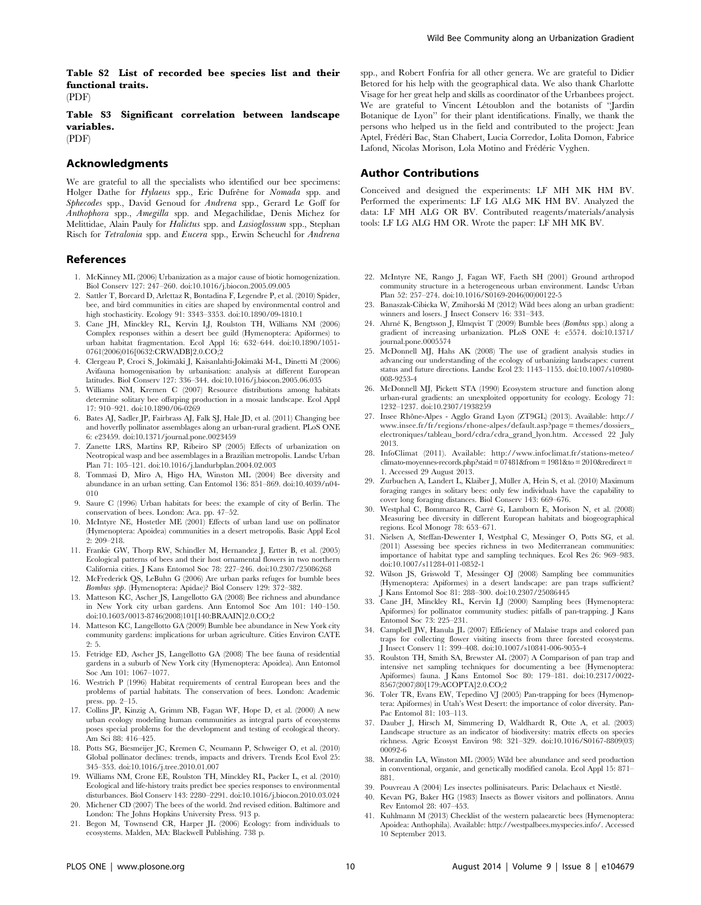Table S2 List of recorded bee species list and their functional traits.  $(PDF)$ 

Table S3 Significant correlation between landscape variables. (PDF)

# Acknowledgments

We are grateful to all the specialists who identified our bee specimens: Holger Dathe for Hylaeus spp., Eric Dufrêne for Nomada spp. and Sphecodes spp., David Genoud for Andrena spp., Gerard Le Goff for Anthophora spp., Amegilla spp. and Megachilidae, Denis Michez for Melittidae, Alain Pauly for Halictus spp. and Lasioglossum spp., Stephan Risch for Tetralonia spp. and Eucera spp., Erwin Scheuchl for Andrena

#### References

- 1. McKinney ML (2006) Urbanization as a major cause of biotic homogenization. Biol Conserv 127: 247–260. doi:10.1016/j.biocon.2005.09.005
- 2. Sattler T, Borcard D, Arlettaz R, Bontadina F, Legendre P, et al. (2010) Spider, bee, and bird communities in cities are shaped by environmental control and high stochasticity. Ecology 91: 3343–3353. doi:10.1890/09-1810.1
- 3. Cane JH, Minckley RL, Kervin LJ, Roulston TH, Williams NM (2006) Complex responses within a desert bee guild (Hymenoptera: Apiformes) to urban habitat fragmentation. Ecol Appl 16: 632–644. doi:10.1890/1051- 0761(2006)016[0632:CRWADB]2.0.CO;2
- 4. Clergeau P, Croci S, Jokimäki J, Kaisanlahti-Jokimäki M-L, Dinetti M (2006) Avifauna homogenisation by urbanisation: analysis at different European latitudes. Biol Conserv 127: 336–344. doi:10.1016/j.biocon.2005.06.035
- 5. Williams NM, Kremen C (2007) Resource distributions among habitats determine solitary bee offsrping production in a mosaic landscape. Ecol Appl 17: 910–921. doi:10.1890/06-0269
- 6. Bates AJ, Sadler JP, Fairbrass AJ, Falk SJ, Hale JD, et al. (2011) Changing bee and hoverfly pollinator assemblages along an urban-rural gradient. PLoS ONE 6: e23459. doi:10.1371/journal.pone.0023459
- 7. Zanette LRS, Martins RP, Ribeiro SP (2005) Effects of urbanization on Neotropical wasp and bee assemblages in a Brazilian metropolis. Landsc Urban Plan 71: 105–121. doi:10.1016/j.landurbplan.2004.02.003
- 8. Tommasi D, Miro A, Higo HA, Winston ML (2004) Bee diversity and abundance in an urban setting. Can Entomol 136: 851–869. doi:10.4039/n04- 010
- 9. Saure C (1996) Urban habitats for bees: the example of city of Berlin. The conservation of bees. London: Aca. pp. 47–52.
- 10. McIntyre NE, Hostetler ME (2001) Effects of urban land use on pollinator (Hymenoptera: Apoidea) communities in a desert metropolis. Basic Appl Ecol 2: 209–218.
- 11. Frankie GW, Thorp RW, Schindler M, Hernandez J, Ertter B, et al. (2005) Ecological patterns of bees and their host ornamental flowers in two northern California cities. J Kans Entomol Soc 78: 227–246. doi:10.2307/25086268
- 12. McFrederick QS, LeBuhn G (2006) Are urban parks refuges for bumble bees Bombus spp. (Hymenoptera: Apidae)? Biol Conserv 129: 372–382.
- 13. Matteson KC, Ascher JS, Langellotto GA (2008) Bee richness and abundance in New York city urban gardens. Ann Entomol Soc Am 101: 140–150. doi:10.1603/0013-8746(2008)101[140:BRAAIN]2.0.CO;2
- 14. Matteson KC, Langellotto GA (2009) Bumble bee abundance in New York city community gardens: implications for urban agriculture. Cities Environ CATE  $9:5.$
- 15. Fetridge ED, Ascher JS, Langellotto GA (2008) The bee fauna of residential gardens in a suburb of New York city (Hymenoptera: Apoidea). Ann Entomol Soc Am 101: 1067–1077.
- 16. Westrich P (1996) Habitat requirements of central European bees and the problems of partial habitats. The conservation of bees. London: Academic press. pp. 2–15.
- 17. Collins JP, Kinzig A, Grimm NB, Fagan WF, Hope D, et al. (2000) A new urban ecology modeling human communities as integral parts of ecosystems poses special problems for the development and testing of ecological theory. Am Sci 88: 416–425.
- 18. Potts SG, Biesmeijer JC, Kremen C, Neumann P, Schweiger O, et al. (2010) Global pollinator declines: trends, impacts and drivers. Trends Ecol Evol 25: 345–353. doi:10.1016/j.tree.2010.01.007
- 19. Williams NM, Crone EE, Roulston TH, Minckley RL, Packer L, et al. (2010) Ecological and life-history traits predict bee species responses to environmental disturbances. Biol Conserv 143: 2280–2291. doi:10.1016/j.biocon.2010.03.024
- 20. Michener CD (2007) The bees of the world. 2nd revised edition. Baltimore and London: The Johns Hopkins University Press. 913 p.
- 21. Begon M, Townsend CR, Harper JL (2006) Ecology: from individuals to ecosystems. Malden, MA: Blackwell Publishing. 738 p.

spp., and Robert Fonfria for all other genera. We are grateful to Didier Betored for his help with the geographical data. We also thank Charlotte Visage for her great help and skills as coordinator of the Urbanbees project. We are grateful to Vincent Létoublon and the botanists of "Jardin Botanique de Lyon'' for their plant identifications. Finally, we thank the persons who helped us in the field and contributed to the project: Jean Aptel, Frédéri Bac, Stan Chabert, Lucia Corredor, Lolita Domon, Fabrice Lafond, Nicolas Morison, Lola Motino and Frédéric Vyghen.

#### Author Contributions

Conceived and designed the experiments: LF MH MK HM BV. Performed the experiments: LF LG ALG MK HM BV. Analyzed the data: LF MH ALG OR BV. Contributed reagents/materials/analysis tools: LF LG ALG HM OR. Wrote the paper: LF MH MK BV.

- 22. McIntyre NE, Rango J, Fagan WF, Faeth SH (2001) Ground arthropod community structure in a heterogeneous urban environment. Landsc Urban Plan 52: 257–274. doi:10.1016/S0169-2046(00)00122-5
- 23. Banaszak-Cibicka W, Zmihorski M (2012) Wild bees along an urban gradient: winners and losers. J Insect Conserv 16: 331–343.
- 24. Ahrné K, Bengtsson J, Elmqvist T (2009) Bumble bees (Bombus spp.) along a gradient of increasing urbanization. PLoS ONE 4: e5574. doi:10.1371/ journal.pone.0005574
- 25. McDonnell MJ, Hahs AK (2008) The use of gradient analysis studies in advancing our understanding of the ecology of urbanizing landscapes: current status and future directions. Landsc Ecol 23: 1143–1155. doi:10.1007/s10980- 008-9253-4
- 26. McDonnell MJ, Pickett STA (1990) Ecosystem structure and function along urban-rural gradients: an unexploited opportunity for ecology. Ecology 71: 1232–1237. doi:10.2307/1938259
- 27. Insee Rhône-Alpes Agglo Grand Lyon (ZT9GL) (2013). Available: [http://](http://www.insee.fr/fr/regions/rhone-alpes/default.asp?page=themes/dossiers_electroniques/tableau_bord/cdra/cdra_grand_lyon.htm) [www.insee.fr/fr/regions/rhone-alpes/default.asp?page = themes/dossiers\\_](http://www.insee.fr/fr/regions/rhone-alpes/default.asp?page=themes/dossiers_electroniques/tableau_bord/cdra/cdra_grand_lyon.htm) [electroniques/tableau\\_bord/cdra/cdra\\_grand\\_lyon.htm](http://www.insee.fr/fr/regions/rhone-alpes/default.asp?page=themes/dossiers_electroniques/tableau_bord/cdra/cdra_grand_lyon.htm). Accessed 22 July 2013.
- 28. InfoClimat (2011). Available: [http://www.infoclimat.fr/stations-meteo/](http://www.infoclimat.fr/stations-meteo/climato-moyennes-records.php?staid=07481&from=1981&to=2010&redirect=1) climato-moyennes-records.php?staid =  $07481$ &from = 1981&to = 2010&redirect = [1](http://www.infoclimat.fr/stations-meteo/climato-moyennes-records.php?staid=07481&from=1981&to=2010&redirect=1). Accessed 29 August 2013.
- 29. Zurbuchen A, Landert L, Klaiber J, Müller A, Hein S, et al. (2010) Maximum foraging ranges in solitary bees: only few individuals have the capability to cover long foraging distances. Biol Conserv 143: 669–676.
- 30. Westphal C, Bommarco R, Carre´ G, Lamborn E, Morison N, et al. (2008) Measuring bee diversity in different European habitats and biogeographical regions. Ecol Monogr 78: 653–671.
- 31. Nielsen A, Steffan-Dewenter I, Westphal C, Messinger O, Potts SG, et al. (2011) Assessing bee species richness in two Mediterranean communities: importance of habitat type and sampling techniques. Ecol Res 26: 969–983. doi:10.1007/s11284-011-0852-1
- 32. Wilson JS, Griswold T, Messinger OJ (2008) Sampling bee communities (Hymenoptera: Apiformes) in a desert landscape: are pan traps sufficient? J Kans Entomol Soc 81: 288–300. doi:10.2307/25086445
- 33. Cane JH, Minckley RL, Kervin LJ (2000) Sampling bees (Hymenoptera: Apiformes) for pollinator community studies: pitfalls of pan-trapping. J Kans Entomol Soc 73: 225–231.
- 34. Campbell JW, Hanula JL (2007) Efficiency of Malaise traps and colored pan traps for collecting flower visiting insects from three forested ecosystems. J Insect Conserv 11: 399–408. doi:10.1007/s10841-006-9055-4
- 35. Roulston TH, Smith SA, Brewster AL (2007) A Comparison of pan trap and intensive net sampling techniques for documenting a bee (Hymenoptera: Apiformes) fauna. J Kans Entomol Soc 80: 179–181. doi:10.2317/0022- 8567(2007)80[179:ACOPTA]2.0.CO;2
- 36. Toler TR, Evans EW, Tepedino VJ (2005) Pan-trapping for bees (Hymenoptera: Apiformes) in Utah's West Desert: the importance of color diversity. Pan-Pac Entomol 81: 103–113.
- 37. Dauber J, Hirsch M, Simmering D, Waldhardt R, Otte A, et al. (2003) Landscape structure as an indicator of biodiversity: matrix effects on species richness. Agric Ecosyst Environ 98: 321–329. doi:10.1016/S0167-8809(03) 00092-6
- 38. Morandin LA, Winston ML (2005) Wild bee abundance and seed production in conventional, organic, and genetically modified canola. Ecol Appl 15: 871– 881.
- 39. Pouvreau A (2004) Les insectes pollinisateurs. Paris: Delachaux et Niestle´.
- 40. Kevan PG, Baker HG (1983) Insects as flower visitors and pollinators. Annu Rev Entomol 28: 407–453.
- 41. Kuhlmann M (2013) Checklist of the western palaearctic bees (Hymenoptera: Apoidea: Anthophila). Available:<http://westpalbees.myspecies.info/>. Accessed 10 September 2013.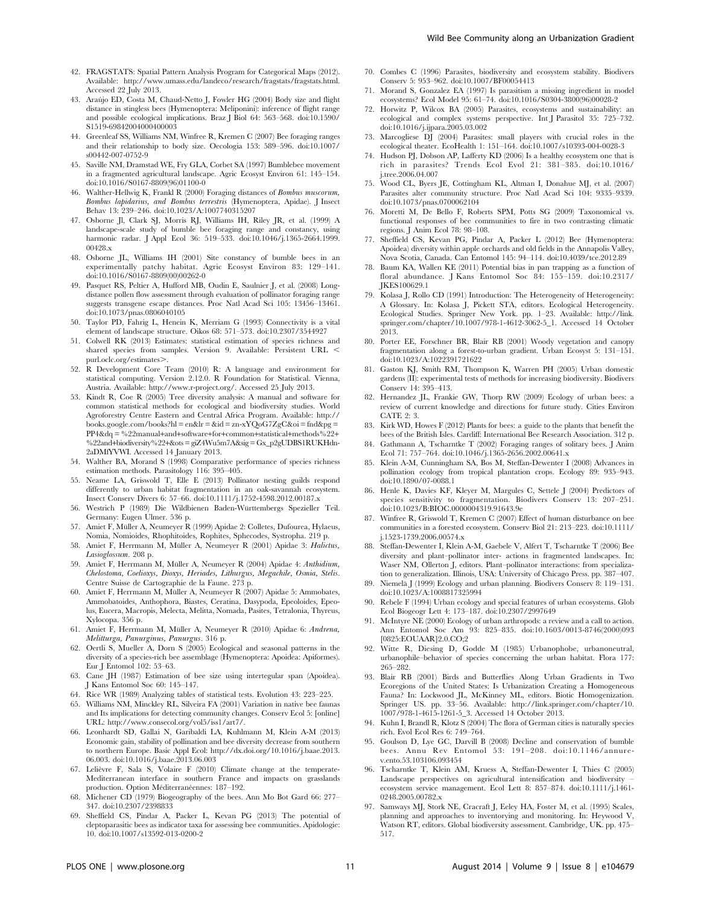- 42. FRAGSTATS: Spatial Pattern Analysis Program for Categorical Maps (2012). Available:<http://www.umass.edu/landeco/research/fragstats/fragstats.html>. Accessed 22 July 2013.
- 43. Arau´jo ED, Costa M, Chaud-Netto J, Fowler HG (2004) Body size and flight distance in stingless bees (Hymenoptera: Meliponini): inference of flight range and possible ecological implications. Braz J Biol 64: 563–568. doi:10.1590/ S1519-69842004000400003
- 44. Greenleaf SS, Williams NM, Winfree R, Kremen C (2007) Bee foraging ranges and their relationship to body size. Oecologia 153: 589–596. doi:10.1007/ s00442-007-0752-9
- 45. Saville NM, Dramstad WE, Fry GLA, Corbet SA (1997) Bumblebee movement in a fragmented agricultural landscape. Agric Ecosyst Environ 61: 145–154. doi:10.1016/S0167-8809(96)01100-0
- 46. Walther-Hellwig K, Frankl R (2000) Foraging distances of Bombus muscorum, Bombus lapidarius, and Bombus terrestris (Hymenoptera, Apidae). J Insect Behav 13: 239–246. doi:10.1023/A:1007740315207
- 47. Osborne Jl, Clark SJ, Morris RJ, Williams IH, Riley JR, et al. (1999) A landscape-scale study of bumble bee foraging range and constancy, using harmonic radar. J Appl Ecol 36: 519–533. doi:10.1046/j.1365-2664.1999. 00428.x
- 48. Osborne JL, Williams IH (2001) Site constancy of bumble bees in an experimentally patchy habitat. Agric Ecosyst Environ 83: 129–141. doi:10.1016/S0167-8809(00)00262-0
- 49. Pasquet RS, Peltier A, Hufford MB, Oudin E, Saulnier J, et al. (2008) Longdistance pollen flow assessment through evaluation of pollinator foraging range suggests transgene escape distances. Proc Natl Acad Sci 105: 13456–13461. doi:10.1073/pnas.0806040105
- 50. Taylor PD, Fahrig L, Henein K, Merriam G (1993) Connectivity is a vital element of landscape structure. Oikos 68: 571–573. doi:10.2307/3544927
- 51. Colwell RK (2013) Estimates: statistical estimation of species richness and shared species from samples. Version 9. Available: Persistent URL < purl.oclc.org/estimates>.
- 52. R Development Core Team (2010) R: A language and environment for statistical computing. Version 2.12.0. R Foundation for Statistical. Vienna, Austria. Available:<http://www.r-project.org/>. Accessed 25 July 2013.
- 53. Kindt R, Coe R (2005) Tree diversity analysis: A manual and software for common statistical methods for ecological and biodiversity studies. World Agroforestry Centre Eastern and Central Africa Program. Available: [http://](http://books.google.com/books?hl=en&lr=&id=zn-xYQoG7ZgC&oi=fnd&pg=PP4&dq=%22manualnd+oftwareorommon+tatisticalethods%22+22andiodiversity%22+ots=giZ4Wu5m7A&sig=Gx_p2gUDBS1RUKHdn-2aDMfYVWI) [books.google.com/books?hl = en&lr = &id = zn-xYQoG7ZgC&oi = fnd&pg =](http://books.google.com/books?hl=en&lr=&id=zn-xYQoG7ZgC&oi=fnd&pg=PP4&dq=%22manualnd+oftwareorommon+tatisticalethods%22+22andiodiversity%22+ots=giZ4Wu5m7A&sig=Gx_p2gUDBS1RUKHdn-2aDMfYVWI)  $PP4&dq = %22manual+ and + software + for + common + statistical + methods$  $PP4&dq = %22manual+ and + software + for + common + statistical + methods$ <sup>9</sup> %22and+biodiversity%22+[&ots = giZ4Wu5m7A&sig = Gx\\_p2gUDBS1RUKHdn-](http://books.google.com/books?hl=en&lr=&id=zn-xYQoG7ZgC&oi=fnd&pg=PP4&dq=%22manualnd+oftwareorommon+tatisticalethods%22+22andiodiversity%22+ots=giZ4Wu5m7A&sig=Gx_p2gUDBS1RUKHdn-2aDMfYVWI)[2aDMfYVWI](http://books.google.com/books?hl=en&lr=&id=zn-xYQoG7ZgC&oi=fnd&pg=PP4&dq=%22manualnd+oftwareorommon+tatisticalethods%22+22andiodiversity%22+ots=giZ4Wu5m7A&sig=Gx_p2gUDBS1RUKHdn-2aDMfYVWI). Accessed 14 January 2013.
- 54. Walther BA, Morand S (1998) Comparative performance of species richness estimation methods. Parasitology 116: 395–405.
- 55. Neame LA, Griswold T, Elle E (2013) Pollinator nesting guilds respond differently to urban habitat fragmentation in an oak-savannah ecosystem. Insect Conserv Divers 6: 57–66. doi:10.1111/j.1752-4598.2012.00187.x
- 56. Westrich P (1989) Die Wildbienen Baden-Wu¨rttembergs Spezieller Teil. Germany: Eugen Ulmer. 536 p.
- 57. Amiet F, Müller A, Neumeyer R (1999) Apidae 2: Colletes, Dufourea, Hylaeus, Nomia, Nomioides, Rhophitoides, Rophites, Sphecodes, Systropha. 219 p.
- 58. Amiet F, Herrmann M, Müller A, Neumeyer R (2001) Apidae 3: Halictus, Lasioglossum. 208 p.
- 59. Amiet F, Herrmann M, Müller A, Neumeyer R (2004) Apidae 4: Anthidium, Chelostoma, Coelioxys, Dioxys, Heriades, Lithurgus, Megachile, Osmia, Stelis. Centre Suisse de Cartographie de la Faune. 273 p.
- 60. Amiet F, Herrmann M, Müller A, Neumeyer R (2007) Apidae 5: Ammobates, Ammobatoides, Anthophora, Biastes, Ceratina, Dasypoda, Epeoloides, Epeolus, Eucera, Macropis, Melecta, Melitta, Nomada, Pasites, Tetralonia, Thyreus, Xylocopa. 356 p.
- 61. Amiet F, Herrmann M, Müller A, Neumeyer R (2010) Apidae 6: Andrena, Melitturga, Panurginus, Panurgus. 316 p.
- 62. Oertli S, Mueller A, Dorn S (2005) Ecological and seasonal patterns in the diversity of a species-rich bee assemblage (Hymenoptera: Apoidea: Apiformes). Eur J Entomol 102: 53–63.
- 63. Cane JH (1987) Estimation of bee size using intertegular span (Apoidea). J Kans Entomol Soc 60: 145–147.
- 64. Rice WR (1989) Analyzing tables of statistical tests. Evolution 43: 223–225.
- 65. Williams NM, Minckley RL, Silveira FA (2001) Variation in native bee faunas and Its implications for detecting community changes. Conserv Ecol 5: [online] URL: [http://www.consecol.org/vol5/iss1/art7/.](http://www.consecol.org/vol5/iss1/art7/)
- 66. Leonhardt SD, Gallai N, Garibaldi LA, Kuhlmann M, Klein A-M (2013) Economic gain, stability of pollination and bee diversity decrease from southern to northern Europe. Basic Appl Ecol: [http://dx.doi.org/10.1016/j.baae.2013.](http://dx.doi.org/10.1016/j.baae.2013.06.003) [06.003.](http://dx.doi.org/10.1016/j.baae.2013.06.003) doi:10.1016/j.baae.2013.06.003
- 67. Lelièvre F, Sala S, Volaire F (2010) Climate change at the temperate-Mediterranean interface in southern France and impacts on grasslands production. Option Méditerranéennes: 187-192.
- 68. Michener CD (1979) Biogeography of the bees. Ann Mo Bot Gard 66: 277– 347. doi:10.2307/2398833
- 69. Sheffield CS, Pindar A, Packer L, Kevan PG (2013) The potential of cleptoparasitic bees as indicator taxa for assessing bee communities. Apidologie: 10. doi:10.1007/s13592-013-0200-2
- 70. Combes C (1996) Parasites, biodiversity and ecosystem stability. Biodivers Conserv 5: 953–962. doi:10.1007/BF00054413
- 71. Morand S, Gonzalez EA (1997) Is parasitism a missing ingredient in model ecosystems? Ecol Model 95: 61–74. doi:10.1016/S0304-3800(96)00028-2
- 72. Horwitz P, Wilcox BA (2005) Parasites, ecosystems and sustainability: an ecological and complex systems perspective. Int J Parasitol 35: 725–732. doi:10.1016/j.ijpara.2005.03.002
- 73. Marcogliese DJ (2004) Parasites: small players with crucial roles in the ecological theater. EcoHealth 1: 151–164. doi:10.1007/s10393-004-0028-3
- 74. Hudson PJ, Dobson AP, Lafferty KD (2006) Is a healthy ecosystem one that is rich in parasites? Trends Ecol Evol 21: 381–385. doi:10.1016/ j.tree.2006.04.007
- 75. Wood CL, Byers JE, Cottingham KL, Altman I, Donahue MJ, et al. (2007) Parasites alter community structure. Proc Natl Acad Sci 104: 9335–9339. doi:10.1073/pnas.0700062104
- 76. Moretti M, De Bello F, Roberts SPM, Potts SG (2009) Taxonomical vs. functional responses of bee communities to fire in two contrasting climatic regions. J Anim Ecol 78: 98–108.
- 77. Sheffield CS, Kevan PG, Pindar A, Packer L (2012) Bee (Hymenoptera: Apoidea) diversity within apple orchards and old fields in the Annapolis Valley, Nova Scotia, Canada. Can Entomol 145: 94–114. doi:10.4039/tce.2012.89
- 78. Baum KA, Wallen KE (2011) Potential bias in pan trapping as a function of floral abundance. J Kans Entomol Soc 84: 155–159. doi:10.2317/ JKES100629.1
- 79. Kolasa J, Rollo CD (1991) Introduction: The Heterogeneity of Heterogeneity: A Glossary. In: Kolasa J, Pickett STA, editors. Ecological Heterogeneity. Ecological Studies. Springer New York. pp. 1–23. Available: [http://link.](http://link.springer.com/chapter/10.1007/978-1-4612-3062-5_1) [springer.com/chapter/10.1007/978-1-4612-3062-5\\_1.](http://link.springer.com/chapter/10.1007/978-1-4612-3062-5_1) Accessed 14 October 2013.
- 80. Porter EE, Forschner BR, Blair RB (2001) Woody vegetation and canopy fragmentation along a forest-to-urban gradient. Urban Ecosyst 5: 131–151. doi:10.1023/A:1022391721622
- 81. Gaston KJ, Smith RM, Thompson K, Warren PH (2005) Urban domestic gardens (II): experimental tests of methods for increasing biodiversity. Biodivers Conserv 14: 395–413.
- 82. Hernandez JL, Frankie GW, Thorp RW (2009) Ecology of urban bees: a review of current knowledge and directions for future study. Cities Environ CATE 2: 3.
- 83. Kirk WD, Howes F (2012) Plants for bees: a guide to the plants that benefit the bees of the British Isles. Cardiff: International Bee Research Association. 312 p.
- 84. Gathmann A, Tscharntke T (2002) Foraging ranges of solitary bees. J Anim Ecol 71: 757–764. doi:10.1046/j.1365-2656.2002.00641.x
- 85. Klein A-M, Cunningham SA, Bos M, Steffan-Dewenter I (2008) Advances in pollination ecology from tropical plantation crops. Ecology 89: 935–943. doi:10.1890/07-0088.1
- 86. Henle K, Davies KF, Kleyer M, Margules C, Settele J (2004) Predictors of species sensitivity to fragmentation. Biodivers Conserv 13: 207–251. doi:10.1023/B:BIOC.0000004319.91643.9e
- 87. Winfree R, Griswold T, Kremen C (2007) Effect of human disturbance on bee communities in a forested ecosystem. Conserv Biol 21: 213–223. doi:10.1111/ j.1523-1739.2006.00574.x
- 88. Steffan-Dewenter I, Klein A-M, Gaebele V, Alfert T, Tscharntke T (2006) Bee diversity and plant–pollinator inter- actions in fragmented landscapes. In: Waser NM, Ollerton J, editors. Plant–pollinator interactions: from specialization to generalization. Illinois, USA: University of Chicago Press. pp. 387–407.
- 89. Niemelä J (1999) Ecology and urban planning. Biodivers Conserv 8: 119-131. doi:10.1023/A:1008817325994
- 90. Rebele F (1994) Urban ecology and special features of urban ecosystems. Glob Ecol Biogeogr Lett 4: 173–187. doi:10.2307/2997649
- 91. McIntyre NE (2000) Ecology of urban arthropods: a review and a call to action. Ann Entomol Soc Am 93: 825–835. doi:10.1603/0013-8746(2000)093 [0825:EOUAAR]2.0.CO;2
- 92. Witte R, Diesing D, Godde M (1985) Urbanophobe, urbanoneutral, urbanophile–behavior of species concerning the urban habitat. Flora 177: 265–282.
- 93. Blair RB (2001) Birds and Butterflies Along Urban Gradients in Two Ecoregions of the United States: Is Urbanization Creating a Homogeneous Fauna? In: Lockwood JL, McKinney ML, editors. Biotic Homogenization. Springer US. pp. 33–56. Available: [http://link.springer.com/chapter/10.](http://link.springer.com/chapter/10.1007/978-1-4615-1261-5_3) [1007/978-1-4615-1261-5\\_3](http://link.springer.com/chapter/10.1007/978-1-4615-1261-5_3). Accessed 14 October 2013.
- 94. Kuhn I, Brandl R, Klotz S (2004) The flora of German cities is naturally species rich. Evol Ecol Res 6: 749–764.
- 95. Goulson D, Lye GC, Darvill B (2008) Decline and conservation of bumble bees. Annu Rev Entomol 53: 191–208. doi:10.1146/annurev.ento.53.103106.093454
- 96. Tscharntke T, Klein AM, Kruess A, Steffan-Dewenter I, Thies C (2005) Landscape perspectives on agricultural intensification and biodiversity – ecosystem service management. Ecol Lett 8: 857–874. doi:10.1111/j.1461- 0248.2005.00782.x
- 97. Samways MJ, Stork NE, Cracraft J, Eeley HA, Foster M, et al. (1995) Scales, planning and approaches to inventorying and monitoring. In: Heywood V, Watson RT, editors. Global biodiversity assessment. Cambridge, UK. pp. 475– 517.